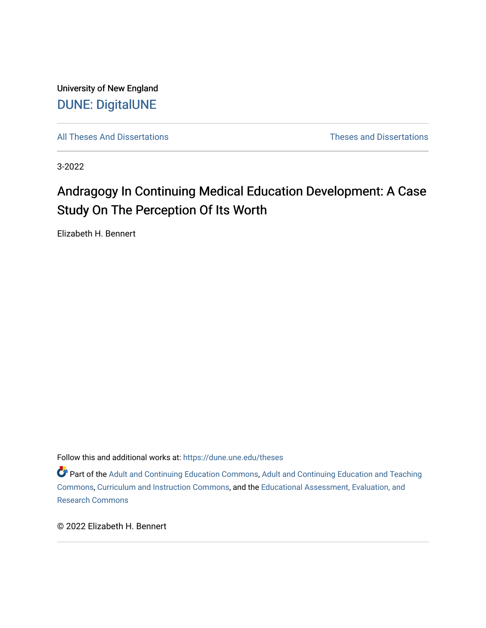University of New England [DUNE: DigitalUNE](https://dune.une.edu/) 

[All Theses And Dissertations](https://dune.une.edu/theses) [Theses and Dissertations](https://dune.une.edu/theses_dissertations) 

3-2022

# Andragogy In Continuing Medical Education Development: A Case Study On The Perception Of Its Worth

Elizabeth H. Bennert

Follow this and additional works at: [https://dune.une.edu/theses](https://dune.une.edu/theses?utm_source=dune.une.edu%2Ftheses%2F415&utm_medium=PDF&utm_campaign=PDFCoverPages) 

**Part of the [Adult and Continuing Education Commons,](http://network.bepress.com/hgg/discipline/1375?utm_source=dune.une.edu%2Ftheses%2F415&utm_medium=PDF&utm_campaign=PDFCoverPages) Adult and Continuing Education and Teaching** [Commons](http://network.bepress.com/hgg/discipline/804?utm_source=dune.une.edu%2Ftheses%2F415&utm_medium=PDF&utm_campaign=PDFCoverPages), [Curriculum and Instruction Commons](http://network.bepress.com/hgg/discipline/786?utm_source=dune.une.edu%2Ftheses%2F415&utm_medium=PDF&utm_campaign=PDFCoverPages), and the [Educational Assessment, Evaluation, and](http://network.bepress.com/hgg/discipline/796?utm_source=dune.une.edu%2Ftheses%2F415&utm_medium=PDF&utm_campaign=PDFCoverPages)  [Research Commons](http://network.bepress.com/hgg/discipline/796?utm_source=dune.une.edu%2Ftheses%2F415&utm_medium=PDF&utm_campaign=PDFCoverPages) 

© 2022 Elizabeth H. Bennert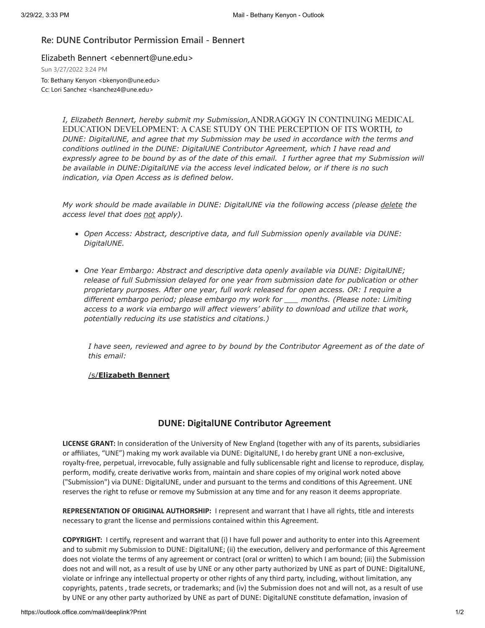## **Re: DUNE Contributor Permission Email - Bennert**

Elizabeth Bennert <ebennert@une.edu>

Sun 3/27/2022 3:24 PM

To: Bethany Kenyon <br/>bkenyon@une.edu> Cc: Lori Sanchez <lsanchez4@une.edu>

> *I, Elizabeth Bennert, hereby submit my Submission,*ANDRAGOGY IN CONTINUING MEDICAL EDUCATION DEVELOPMENT: A CASE STUDY ON THE PERCEPTION OF ITS WORTH*, to DUNE: DigitalUNE, and agree that my Submission may be used in accordance with the terms and conditions outlined in the DUNE: DigitalUNE Contributor Agreement, which I have read and* expressly agree to be bound by as of the date of this email. I further agree that my Submission will *be available in DUNE:DigitalUNE via the access level indicated below, or if there is no such indication, via Open Access as is defined below.*

*My work should be made available in DUNE: DigitalUNE via the following access (please delete the access level that does not apply).*

- *Open Access: Abstract, descriptive data, and full Submission openly available via DUNE: DigitalUNE.*
- *One Year Embargo: Abstract and descriptive data openly available via DUNE: DigitalUNE; release of full Submission delayed for one year from submission date for publication or other proprietary purposes. After one year, full work released for open access. OR: I require a different embargo period; please embargo my work for \_\_\_ months. (Please note: Limiting access to a work via embargo will affect viewers' ability to download and utilize that work, potentially reducing its use statistics and citations.)*

*I have seen, reviewed and agree to by bound by the Contributor Agreement as of the date of this email:*

### /s/**Elizabeth Bennert**

# **DUNE: DigitalUNE Contributor Agreement**

**LICENSE GRANT:** In consideration of the University of New England (together with any of its parents, subsidiaries or affiliates, "UNE") making my work available via DUNE: DigitalUNE, I do hereby grant UNE a non-exclusive, royalty-free, perpetual, irrevocable, fully assignable and fully sublicensable right and license to reproduce, display, perform, modify, create derivative works from, maintain and share copies of my original work noted above ("Submission") via DUNE: DigitalUNE, under and pursuant to the terms and conditions of this Agreement. UNE reserves the right to refuse or remove my Submission at any time and for any reason it deems appropriate.

**REPRESENTATION OF ORIGINAL AUTHORSHIP:** I represent and warrant that I have all rights, title and interests necessary to grant the license and permissions contained within this Agreement.

**COPYRIGHT:** I certify, represent and warrant that (i) I have full power and authority to enter into this Agreement and to submit my Submission to DUNE: DigitalUNE; (ii) the execution, delivery and performance of this Agreement does not violate the terms of any agreement or contract (oral or written) to which I am bound; (iii) the Submission does not and will not, as a result of use by UNE or any other party authorized by UNE as part of DUNE: DigitalUNE, violate or infringe any intellectual property or other rights of any third party, including, without limitation, any copyrights, patents , trade secrets, or trademarks; and (iv) the Submission does not and will not, as a result of use by UNE or any other party authorized by UNE as part of DUNE: DigitalUNE constitute defamation, invasion of